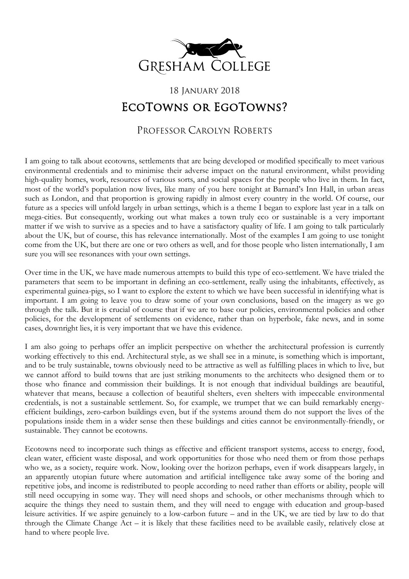

## 18 January 2018 EcoTowns or EgoTowns?

PROFESSOR CAROLYN ROBERTS

I am going to talk about ecotowns, settlements that are being developed or modified specifically to meet various environmental credentials and to minimise their adverse impact on the natural environment, whilst providing high-quality homes, work, resources of various sorts, and social spaces for the people who live in them. In fact, most of the world's population now lives, like many of you here tonight at Barnard's Inn Hall, in urban areas such as London, and that proportion is growing rapidly in almost every country in the world. Of course, our future as a species will unfold largely in urban settings, which is a theme I began to explore last year in a talk on mega-cities. But consequently, working out what makes a town truly eco or sustainable is a very important matter if we wish to survive as a species and to have a satisfactory quality of life. I am going to talk particularly about the UK, but of course, this has relevance internationally. Most of the examples I am going to use tonight come from the UK, but there are one or two others as well, and for those people who listen internationally, I am sure you will see resonances with your own settings.

Over time in the UK, we have made numerous attempts to build this type of eco-settlement. We have trialed the parameters that seem to be important in defining an eco-settlement, really using the inhabitants, effectively, as experimental guinea-pigs, so I want to explore the extent to which we have been successful in identifying what is important. I am going to leave you to draw some of your own conclusions, based on the imagery as we go through the talk. But it is crucial of course that if we are to base our policies, environmental policies and other policies, for the development of settlements on evidence, rather than on hyperbole, fake news, and in some cases, downright lies, it is very important that we have this evidence.

I am also going to perhaps offer an implicit perspective on whether the architectural profession is currently working effectively to this end. Architectural style, as we shall see in a minute, is something which is important, and to be truly sustainable, towns obviously need to be attractive as well as fulfilling places in which to live, but we cannot afford to build towns that are just striking monuments to the architects who designed them or to those who finance and commission their buildings. It is not enough that individual buildings are beautiful, whatever that means, because a collection of beautiful shelters, even shelters with impeccable environmental credentials, is not a sustainable settlement. So, for example, we trumpet that we can build remarkably energyefficient buildings, zero-carbon buildings even, but if the systems around them do not support the lives of the populations inside them in a wider sense then these buildings and cities cannot be environmentally-friendly, or sustainable. They cannot be ecotowns.

Ecotowns need to incorporate such things as effective and efficient transport systems, access to energy, food, clean water, efficient waste disposal, and work opportunities for those who need them or from those perhaps who we, as a society, require work. Now, looking over the horizon perhaps, even if work disappears largely, in an apparently utopian future where automation and artificial intelligence take away some of the boring and repetitive jobs, and income is redistributed to people according to need rather than efforts or ability, people will still need occupying in some way. They will need shops and schools, or other mechanisms through which to acquire the things they need to sustain them, and they will need to engage with education and group-based leisure activities. If we aspire genuinely to a low-carbon future – and in the UK, we are tied by law to do that through the Climate Change Act – it is likely that these facilities need to be available easily, relatively close at hand to where people live.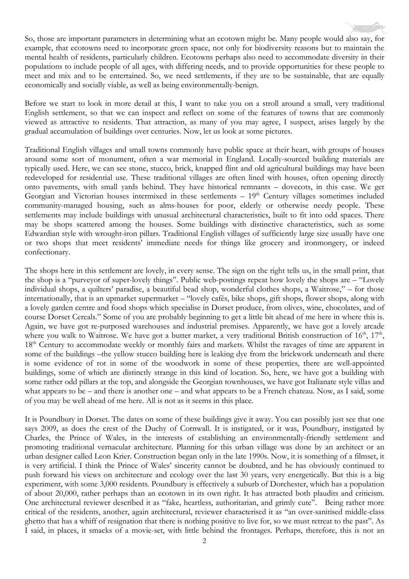So, those are important parameters in determining what an ecotown might be. Many people would also say, for example, that ecotowns need to incorporate green space, not only for biodiversity reasons but to maintain the mental health of residents, particularly children. Ecotowns perhaps also need to accommodate diversity in their populations to include people of all ages, with differing needs, and to provide opportunities for these people to meet and mix and to be entertained. So, we need settlements, if they are to be sustainable, that are equally economically and socially viable, as well as being environmentally-benign.

Before we start to look in more detail at this, I want to take you on a stroll around a small, very traditional English settlement, so that we can inspect and reflect on some of the features of towns that are commonly viewed as attractive to residents. That attraction, as many of you may agree, I suspect, arises largely by the gradual accumulation of buildings over centuries. Now, let us look at some pictures.

Traditional English villages and small towns commonly have public space at their heart, with groups of houses around some sort of monument, often a war memorial in England. Locally-sourced building materials are typically used. Here, we can see stone, stucco, brick, knapped flint and old agricultural buildings may have been redeveloped for residential use. These traditional villages are often lined with houses, often opening directly onto pavements, with small yards behind. They have historical remnants – dovecots, in this case. We get Georgian and Victorian houses intermixed in these settlements  $-19<sup>th</sup>$  Century villages sometimes included community-managed housing, such as alms-houses for poor, elderly or otherwise needy people. These settlements may include buildings with unusual architectural characteristics, built to fit into odd spaces. There may be shops scattered among the houses. Some buildings with distinctive characteristics, such as some Edwardian style with wrought-iron pillars. Traditional English villages of sufficiently large size usually have one or two shops that meet residents' immediate needs for things like grocery and ironmongery, or indeed confectionary.

The shops here in this settlement are lovely, in every sense. The sign on the right tells us, in the small print, that the shop is a "purveyor of super-lovely things". Public web-postings repeat how lovely the shops are – "Lovely individual shops, a quilters' paradise, a beautiful bead shop, wonderful clothes shops, a Waitrose," – for those internationally, that is an upmarket supermarket – "lovely cafés, bike shops, gift shops, flower shops, along with a lovely garden centre and food shops which specialise in Dorset produce, from olives, wine, chocolates, and of course Dorset Cereals." Some of you are probably beginning to get a little bit ahead of me here in where this is. Again, we have got re-purposed warehouses and industrial premises. Apparently, we have got a lovely arcade where you walk to Waitrose. We have got a butter market, a very traditional British construction of 16<sup>th</sup>, 17<sup>th</sup>, 18<sup>th</sup> Century to accommodate weekly or monthly fairs and markets. Whilst the ravages of time are apparent in some of the buildings –the yellow stucco building here is leaking dye from the brickwork underneath and there is some evidence of rot in some of the woodwork in some of these properties, there are well-appointed buildings, some of which are distinctly strange in this kind of location. So, here, we have got a building with some rather odd pillars at the top, and alongside the Georgian townhouses, we have got Italianate style villas and what appears to be – and there is another one – and what appears to be a French chateau. Now, as I said, some of you may be well ahead of me here. All is not as it seems in this place.

It is Poundbury in Dorset. The dates on some of these buildings give it away. You can possibly just see that one says 2009, as does the crest of the Duchy of Cornwall. It is instigated, or it was, Poundbury, instigated by Charles, the Prince of Wales, in the interests of establishing an environmentally-friendly settlement and promoting traditional vernacular architecture. Planning for this urban village was done by an architect or an urban designer called Leon Krier. Construction began only in the late 1990s. Now, it is something of a filmset, it is very artificial. I think the Prince of Wales' sincerity cannot be doubted, and he has obviously continued to push forward his views on architecture and ecology over the last 30 years, very energetically. But this is a big experiment, with some 3,000 residents. Poundbury is effectively a suburb of Dorchester, which has a population of about 20,000, rather perhaps than an ecotown in its own right. It has attracted both plaudits and criticism. One architectural reviewer described it as "fake, heartless, authoritarian, and grimly cute". Being rather more critical of the residents, another, again architectural, reviewer characterised it as "an over-sanitised middle-class ghetto that has a whiff of resignation that there is nothing positive to live for, so we must retreat to the past". As I said, in places, it smacks of a movie-set, with little behind the frontages. Perhaps, therefore, this is not an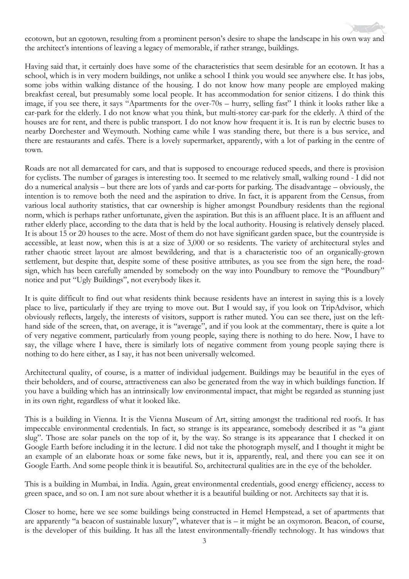ecotown, but an egotown, resulting from a prominent person's desire to shape the landscape in his own way and the architect's intentions of leaving a legacy of memorable, if rather strange, buildings.

Having said that, it certainly does have some of the characteristics that seem desirable for an ecotown. It has a school, which is in very modern buildings, not unlike a school I think you would see anywhere else. It has jobs, some jobs within walking distance of the housing. I do not know how many people are employed making breakfast cereal, but presumably some local people. It has accommodation for senior citizens. I do think this image, if you see there, it says "Apartments for the over-70s – hurry, selling fast" I think it looks rather like a car-park for the elderly. I do not know what you think, but multi-storey car-park for the elderly. A third of the houses are for rent, and there is public transport. I do not know how frequent it is. It is run by electric buses to nearby Dorchester and Weymouth. Nothing came while I was standing there, but there is a bus service, and there are restaurants and cafés. There is a lovely supermarket, apparently, with a lot of parking in the centre of town.

Roads are not all demarcated for cars, and that is supposed to encourage reduced speeds, and there is provision for cyclists. The number of garages is interesting too. It seemed to me relatively small, walking round - I did not do a numerical analysis – but there are lots of yards and car-ports for parking. The disadvantage – obviously, the intention is to remove both the need and the aspiration to drive. In fact, it is apparent from the Census, from various local authority statistics, that car ownership is higher amongst Poundbury residents than the regional norm, which is perhaps rather unfortunate, given the aspiration. But this is an affluent place. It is an affluent and rather elderly place, according to the data that is held by the local authority. Housing is relatively densely placed. It is about 15 or 20 houses to the acre. Most of them do not have significant garden space, but the countryside is accessible, at least now, when this is at a size of 3,000 or so residents. The variety of architectural styles and rather chaotic street layout are almost bewildering, and that is a characteristic too of an organically-grown settlement, but despite that, despite some of these positive attributes, as you see from the sign here, the roadsign, which has been carefully amended by somebody on the way into Poundbury to remove the "Poundbury" notice and put "Ugly Buildings", not everybody likes it.

It is quite difficult to find out what residents think because residents have an interest in saying this is a lovely place to live, particularly if they are trying to move out. But I would say, if you look on TripAdvisor, which obviously reflects, largely, the interests of visitors, support is rather muted. You can see there, just on the lefthand side of the screen, that, on average, it is "average", and if you look at the commentary, there is quite a lot of very negative comment, particularly from young people, saying there is nothing to do here. Now, I have to say, the village where I have, there is similarly lots of negative comment from young people saying there is nothing to do here either, as I say, it has not been universally welcomed.

Architectural quality, of course, is a matter of individual judgement. Buildings may be beautiful in the eyes of their beholders, and of course, attractiveness can also be generated from the way in which buildings function. If you have a building which has an intrinsically low environmental impact, that might be regarded as stunning just in its own right, regardless of what it looked like.

This is a building in Vienna. It is the Vienna Museum of Art, sitting amongst the traditional red roofs. It has impeccable environmental credentials. In fact, so strange is its appearance, somebody described it as "a giant slug". Those are solar panels on the top of it, by the way. So strange is its appearance that I checked it on Google Earth before including it in the lecture. I did not take the photograph myself, and I thought it might be an example of an elaborate hoax or some fake news, but it is, apparently, real, and there you can see it on Google Earth. And some people think it is beautiful. So, architectural qualities are in the eye of the beholder.

This is a building in Mumbai, in India. Again, great environmental credentials, good energy efficiency, access to green space, and so on. I am not sure about whether it is a beautiful building or not. Architects say that it is.

Closer to home, here we see some buildings being constructed in Hemel Hempstead, a set of apartments that are apparently "a beacon of sustainable luxury", whatever that is – it might be an oxymoron. Beacon, of course, is the developer of this building. It has all the latest environmentally-friendly technology. It has windows that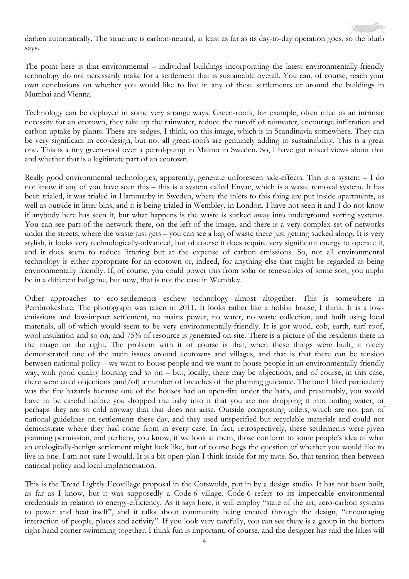darken automatically. The structure is carbon-neutral, at least as far as its day-to-day operation goes, so the blurb says.

The point here is that environmental – individual buildings incorporating the latest environmentally-friendly technology do not necessarily make for a settlement that is sustainable overall. You can, of course, reach your own conclusions on whether you would like to live in any of these settlements or around the buildings in Mumbai and Vienna.

Technology can be deployed in some very strange ways. Green-roofs, for example, often cited as an intrinsic necessity for an ecotown, they take up the rainwater, reduce the runoff of rainwater, encourage infiltration and carbon uptake by plants. These are sedges, I think, on this image, which is in Scandinavia somewhere. They can be very significant in eco-design, but not all green-roofs are genuinely adding to sustainability. This is a great one. This is a tiny green-roof over a petrol-pump in Malmo in Sweden. So, I have got mixed views about that and whether that is a legitimate part of an ecotown.

Really good environmental technologies, apparently, generate unforeseen side-effects. This is a system – I do not know if any of you have seen this – this is a system called Envac, which is a waste removal system. It has been trialed, it was trialed in Hammarby in Sweden, where the inlets to this thing are put inside apartments, as well as outside in litter bins, and it is being trialed in Wembley, in London. I have not seen it and I do not know if anybody here has seen it, but what happens is the waste is sucked away into underground sorting systems. You can see part of the network there, on the left of the image, and there is a very complex set of networks under the streets, where the waste just gets – you can see a bag of waste there just getting sucked along. It is very stylish, it looks very technologically-advanced, but of course it does require very significant energy to operate it, and it does seem to reduce littering but at the expense of carbon emissions. So, not all environmental technology is either appropriate for an ecotown or, indeed, for anything else that might be regarded as being environmentally friendly. If, of course, you could power this from solar or renewables of some sort, you might be in a different ballgame, but now, that is not the case in Wembley.

Other approaches to eco-settlements eschew technology almost altogether. This is somewhere in Pembrokeshire. The photograph was taken in 2011. It looks rather like a hobbit house, I think. It is a lowemissions and low-impact settlement, no mains power, no water, no waste collection, and built using local materials, all of which would seem to be very environmentally-friendly. It is got wood, cob, earth, turf roof, wool insulation and so on, and 75% of resource is generated on-site. There is a picture of the residents there in the image on the right. The problem with it of course is that, when these things were built, it nicely demonstrated one of the main issues around ecotowns and villages, and that is that there can be tension between national policy – we want to house people and we want to house people in an environmentally-friendly way, with good quality housing and so on – but, locally, there may be objections, and of course, in this case, there were cited objections [and/of] a number of breaches of the planning guidance. The one I liked particularly was the fire hazards because one of the houses had an open-fire under the bath, and presumably, you would have to be careful before you dropped the baby into it that you are not dropping it into boiling water, or perhaps they are so cold anyway that that does not arise. Outside composting toilets, which are not part of national guidelines on settlements these day, and they used unspecified but recyclable materials and could not demonstrate where they had come from in every case. In fact, retrospectively, these settlements were given planning permission, and perhaps, you know, if we look at them, those conform to some people's idea of what an ecologically-benign settlement might look like, but of course begs the question of whether you would like to live in one. I am not sure I would. It is a bit open-plan I think inside for my taste. So, that tension then between national policy and local implementation.

This is the Tread Lightly Ecovillage proposal in the Cotswolds, put in by a design studio. It has not been built, as far as I know, but it was supposedly a Code-6 village. Code-6 refers to its impeccable environmental credentials in relation to energy-efficiency. As it says here, it will employ "state of the art, zero-carbon systems to power and heat itself", and it talks about community being created through the design, "encouraging interaction of people, places and activity". If you look very carefully, you can see there is a group in the bottom right-hand corner swimming together. I think fun is important, of course, and the designer has said the lakes will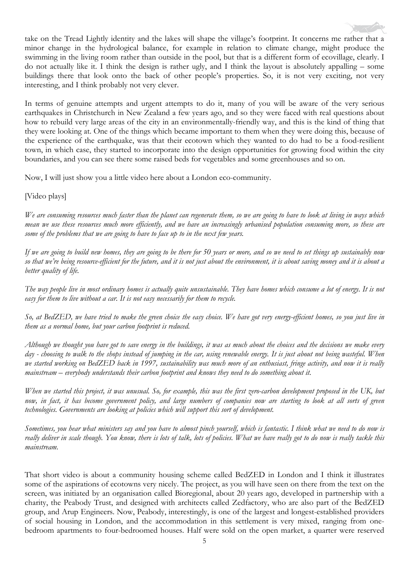take on the Tread Lightly identity and the lakes will shape the village's footprint. It concerns me rather that a minor change in the hydrological balance, for example in relation to climate change, might produce the swimming in the living room rather than outside in the pool, but that is a different form of ecovillage, clearly. I do not actually like it. I think the design is rather ugly, and I think the layout is absolutely appalling – some buildings there that look onto the back of other people's properties. So, it is not very exciting, not very interesting, and I think probably not very clever.

In terms of genuine attempts and urgent attempts to do it, many of you will be aware of the very serious earthquakes in Christchurch in New Zealand a few years ago, and so they were faced with real questions about how to rebuild very large areas of the city in an environmentally-friendly way, and this is the kind of thing that they were looking at. One of the things which became important to them when they were doing this, because of the experience of the earthquake, was that their ecotown which they wanted to do had to be a food-resilient town, in which case, they started to incorporate into the design opportunities for growing food within the city boundaries, and you can see there some raised beds for vegetables and some greenhouses and so on.

Now, I will just show you a little video here about a London eco-community.

[Video plays]

*We are consuming resources much faster than the planet can regenerate them, so we are going to have to look at living in ways which mean we use these resources much more efficiently, and we have an increasingly urbanised population consuming more, so these are some of the problems that we are going to have to face up to in the next few years.*

*If we are going to build new homes, they are going to be there for 50 years or more, and so we need to set things up sustainably now so that we're being resource-efficient for the future, and it is not just about the environment, it is about saving money and it is about a better quality of life.*

*The way people live in most ordinary homes is actually quite unsustainable. They have homes which consume a lot of energy. It is not easy for them to live without a car. It is not easy necessarily for them to recycle.*

*So, at BedZED, we have tried to make the green choice the easy choice. We have got very energy-efficient homes, so you just live in them as a normal home, but your carbon footprint is reduced.*

*Although we thought you have got to save energy in the buildings, it was as much about the choices and the decisions we make every day - choosing to walk to the shops instead of jumping in the car, using renewable energy. It is just about not being wasteful. When we started working on BedZED back in 1997, sustainability was much more of an enthusiast, fringe activity, and now it is really mainstream – everybody understands their carbon footprint and knows they need to do something about it.*

*When we started this project, it was unusual. So, for example, this was the first zero-carbon development proposed in the UK, but now, in fact, it has become government policy, and large numbers of companies now are starting to look at all sorts of green technologies. Governments are looking at policies which will support this sort of development.*

*Sometimes, you hear what ministers say and you have to almost pinch yourself, which is fantastic. I think what we need to do now is really deliver in scale though. You know, there is lots of talk, lots of policies. What we have really got to do now is really tackle this mainstream.*

That short video is about a community housing scheme called BedZED in London and I think it illustrates some of the aspirations of ecotowns very nicely. The project, as you will have seen on there from the text on the screen, was initiated by an organisation called Bioregional, about 20 years ago, developed in partnership with a charity, the Peabody Trust, and designed with architects called Zedfactory, who are also part of the BedZED group, and Arup Engineers. Now, Peabody, interestingly, is one of the largest and longest-established providers of social housing in London, and the accommodation in this settlement is very mixed, ranging from onebedroom apartments to four-bedroomed houses. Half were sold on the open market, a quarter were reserved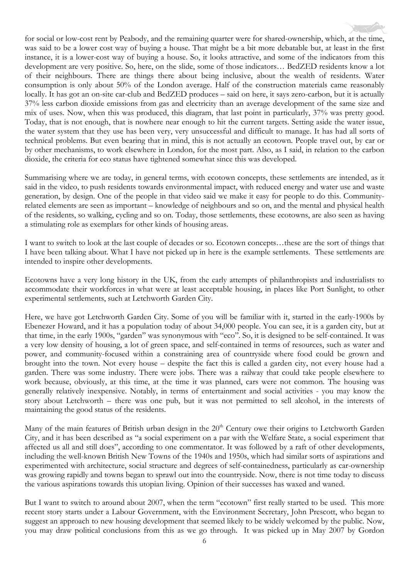for social or low-cost rent by Peabody, and the remaining quarter were for shared-ownership, which, at the time, was said to be a lower cost way of buying a house. That might be a bit more debatable but, at least in the first instance, it is a lower-cost way of buying a house. So, it looks attractive, and some of the indicators from this development are very positive. So, here, on the slide, some of those indicators… BedZED residents know a lot of their neighbours. There are things there about being inclusive, about the wealth of residents. Water consumption is only about 50% of the London average. Half of the construction materials came reasonably locally. It has got an on-site car-club and BedZED produces – said on here, it says zero-carbon, but it is actually 37% less carbon dioxide emissions from gas and electricity than an average development of the same size and mix of uses. Now, when this was produced, this diagram, that last point in particularly, 37% was pretty good. Today, that is not enough, that is nowhere near enough to hit the current targets. Setting aside the water issue, the water system that they use has been very, very unsuccessful and difficult to manage. It has had all sorts of technical problems. But even bearing that in mind, this is not actually an ecotown. People travel out, by car or by other mechanisms, to work elsewhere in London, for the most part. Also, as I said, in relation to the carbon dioxide, the criteria for eco status have tightened somewhat since this was developed.

Summarising where we are today, in general terms, with ecotown concepts, these settlements are intended, as it said in the video, to push residents towards environmental impact, with reduced energy and water use and waste generation, by design. One of the people in that video said we make it easy for people to do this. Communityrelated elements are seen as important – knowledge of neighbours and so on, and the mental and physical health of the residents, so walking, cycling and so on. Today, those settlements, these ecotowns, are also seen as having a stimulating role as exemplars for other kinds of housing areas.

I want to switch to look at the last couple of decades or so. Ecotown concepts…these are the sort of things that I have been talking about. What I have not picked up in here is the example settlements. These settlements are intended to inspire other developments.

Ecotowns have a very long history in the UK, from the early attempts of philanthropists and industrialists to accommodate their workforces in what were at least acceptable housing, in places like Port Sunlight, to other experimental settlements, such at Letchworth Garden City.

Here, we have got Letchworth Garden City. Some of you will be familiar with it, started in the early-1900s by Ebenezer Howard, and it has a population today of about 34,000 people. You can see, it is a garden city, but at that time, in the early 1900s, "garden" was synonymous with "eco". So, it is designed to be self-contained. It was a very low density of housing, a lot of green space, and self-contained in terms of resources, such as water and power, and community-focused within a constraining area of countryside where food could be grown and brought into the town. Not every house – despite the fact this is called a garden city, not every house had a garden. There was some industry. There were jobs. There was a railway that could take people elsewhere to work because, obviously, at this time, at the time it was planned, cars were not common. The housing was generally relatively inexpensive. Notably, in terms of entertainment and social activities - you may know the story about Letchworth – there was one pub, but it was not permitted to sell alcohol, in the interests of maintaining the good status of the residents.

Many of the main features of British urban design in the 20<sup>th</sup> Century owe their origins to Letchworth Garden City, and it has been described as "a social experiment on a par with the Welfare State, a social experiment that affected us all and still does", according to one commentator. It was followed by a raft of other developments, including the well-known British New Towns of the 1940s and 1950s, which had similar sorts of aspirations and experimented with architecture, social structure and degrees of self-containedness, particularly as car-ownership was growing rapidly and towns began to sprawl out into the countryside. Now, there is not time today to discuss the various aspirations towards this utopian living. Opinion of their successes has waxed and waned.

But I want to switch to around about 2007, when the term "ecotown" first really started to be used. This more recent story starts under a Labour Government, with the Environment Secretary, John Prescott, who began to suggest an approach to new housing development that seemed likely to be widely welcomed by the public. Now, you may draw political conclusions from this as we go through. It was picked up in May 2007 by Gordon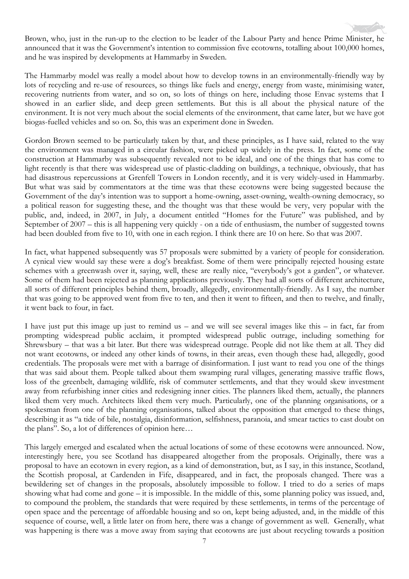Brown, who, just in the run-up to the election to be leader of the Labour Party and hence Prime Minister, he announced that it was the Government's intention to commission five ecotowns, totalling about 100,000 homes, and he was inspired by developments at Hammarby in Sweden.

The Hammarby model was really a model about how to develop towns in an environmentally-friendly way by lots of recycling and re-use of resources, so things like fuels and energy, energy from waste, minimising water, recovering nutrients from water, and so on, so lots of things on here, including those Envac systems that I showed in an earlier slide, and deep green settlements. But this is all about the physical nature of the environment. It is not very much about the social elements of the environment, that came later, but we have got biogas-fuelled vehicles and so on. So, this was an experiment done in Sweden.

Gordon Brown seemed to be particularly taken by that, and these principles, as I have said, related to the way the environment was managed in a circular fashion, were picked up widely in the press. In fact, some of the construction at Hammarby was subsequently revealed not to be ideal, and one of the things that has come to light recently is that there was widespread use of plastic-cladding on buildings, a technique, obviously, that has had disastrous repercussions at Grenfell Towers in London recently, and it is very widely-used in Hammarby. But what was said by commentators at the time was that these ecotowns were being suggested because the Government of the day's intention was to support a home-owning, asset-owning, wealth-owning democracy, so a political reason for suggesting these, and the thought was that these would be very, very popular with the public, and, indeed, in 2007, in July, a document entitled "Homes for the Future" was published, and by September of 2007 – this is all happening very quickly - on a tide of enthusiasm, the number of suggested towns had been doubled from five to 10, with one in each region. I think there are 10 on here. So that was 2007.

In fact, what happened subsequently was 57 proposals were submitted by a variety of people for consideration. A cynical view would say these were a dog's breakfast. Some of them were principally rejected housing estate schemes with a greenwash over it, saying, well, these are really nice, "everybody's got a garden", or whatever. Some of them had been rejected as planning applications previously. They had all sorts of different architecture, all sorts of different principles behind them, broadly, allegedly, environmentally-friendly. As I say, the number that was going to be approved went from five to ten, and then it went to fifteen, and then to twelve, and finally, it went back to four, in fact.

I have just put this image up just to remind us – and we will see several images like this – in fact, far from prompting widespread public acclaim, it prompted widespread public outrage, including something for Shrewsbury – that was a bit later. But there was widespread outrage. People did not like them at all. They did not want ecotowns, or indeed any other kinds of towns, in their areas, even though these had, allegedly, good credentials. The proposals were met with a barrage of disinformation. I just want to read you one of the things that was said about them. People talked about them swamping rural villages, generating massive traffic flows, loss of the greenbelt, damaging wildlife, risk of commuter settlements, and that they would skew investment away from refurbishing inner cities and redesigning inner cities. The planners liked them, actually, the planners liked them very much. Architects liked them very much. Particularly, one of the planning organisations, or a spokesman from one of the planning organisations, talked about the opposition that emerged to these things, describing it as "a tide of bile, nostalgia, disinformation, selfishness, paranoia, and smear tactics to cast doubt on the plans". So, a lot of differences of opinion here…

This largely emerged and escalated when the actual locations of some of these ecotowns were announced. Now, interestingly here, you see Scotland has disappeared altogether from the proposals. Originally, there was a proposal to have an ecotown in every region, as a kind of demonstration, but, as I say, in this instance, Scotland, the Scottish proposal, at Cardenden in Fife, disappeared, and in fact, the proposals changed. There was a bewildering set of changes in the proposals, absolutely impossible to follow. I tried to do a series of maps showing what had come and gone – it is impossible. In the middle of this, some planning policy was issued, and, to compound the problem, the standards that were required by these settlements, in terms of the percentage of open space and the percentage of affordable housing and so on, kept being adjusted, and, in the middle of this sequence of course, well, a little later on from here, there was a change of government as well. Generally, what was happening is there was a move away from saying that ecotowns are just about recycling towards a position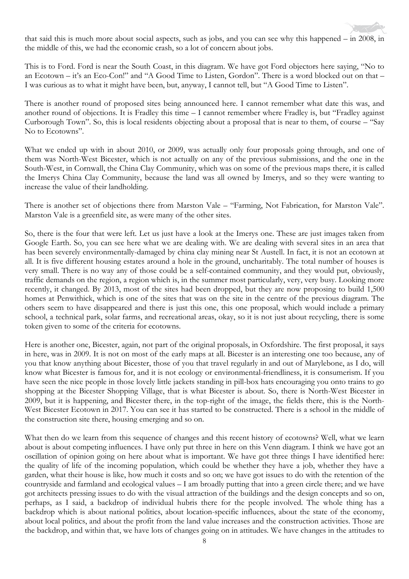that said this is much more about social aspects, such as jobs, and you can see why this happened – in 2008, in the middle of this, we had the economic crash, so a lot of concern about jobs.

This is to Ford. Ford is near the South Coast, in this diagram. We have got Ford objectors here saying, "No to an Ecotown – it's an Eco-Con!" and "A Good Time to Listen, Gordon". There is a word blocked out on that – I was curious as to what it might have been, but, anyway, I cannot tell, but "A Good Time to Listen".

There is another round of proposed sites being announced here. I cannot remember what date this was, and another round of objections. It is Fradley this time – I cannot remember where Fradley is, but "Fradley against Curborough Town". So, this is local residents objecting about a proposal that is near to them, of course – "Say No to Ecotowns".

What we ended up with in about 2010, or 2009, was actually only four proposals going through, and one of them was North-West Bicester, which is not actually on any of the previous submissions, and the one in the South-West, in Cornwall, the China Clay Community, which was on some of the previous maps there, it is called the Imerys China Clay Community, because the land was all owned by Imerys, and so they were wanting to increase the value of their landholding.

There is another set of objections there from Marston Vale – "Farming, Not Fabrication, for Marston Vale". Marston Vale is a greenfield site, as were many of the other sites.

So, there is the four that were left. Let us just have a look at the Imerys one. These are just images taken from Google Earth. So, you can see here what we are dealing with. We are dealing with several sites in an area that has been severely environmentally-damaged by china clay mining near St Austell. In fact, it is not an ecotown at all. It is five different housing estates around a hole in the ground, uncharitably. The total number of houses is very small. There is no way any of those could be a self-contained community, and they would put, obviously, traffic demands on the region, a region which is, in the summer most particularly, very, very busy. Looking more recently, it changed. By 2013, most of the sites had been dropped, but they are now proposing to build 1,500 homes at Penwithick, which is one of the sites that was on the site in the centre of the previous diagram. The others seem to have disappeared and there is just this one, this one proposal, which would include a primary school, a technical park, solar farms, and recreational areas, okay, so it is not just about recycling, there is some token given to some of the criteria for ecotowns.

Here is another one, Bicester, again, not part of the original proposals, in Oxfordshire. The first proposal, it says in here, was in 2009. It is not on most of the early maps at all. Bicester is an interesting one too because, any of you that know anything about Bicester, those of you that travel regularly in and out of Marylebone, as I do, will know what Bicester is famous for, and it is not ecology or environmental-friendliness, it is consumerism. If you have seen the nice people in those lovely little jackets standing in pill-box hats encouraging you onto trains to go shopping at the Bicester Shopping Village, that is what Bicester is about. So, there is North-West Bicester in 2009, but it is happening, and Bicester there, in the top-right of the image, the fields there, this is the North-West Bicester Ecotown in 2017. You can see it has started to be constructed. There is a school in the middle of the construction site there, housing emerging and so on.

What then do we learn from this sequence of changes and this recent history of ecotowns? Well, what we learn about is about competing influences. I have only put three in here on this Venn diagram. I think we have got an oscillation of opinion going on here about what is important. We have got three things I have identified here: the quality of life of the incoming population, which could be whether they have a job, whether they have a garden, what their house is like, how much it costs and so on; we have got issues to do with the retention of the countryside and farmland and ecological values – I am broadly putting that into a green circle there; and we have got architects pressing issues to do with the visual attraction of the buildings and the design concepts and so on, perhaps, as I said, a backdrop of individual hubris there for the people involved. The whole thing has a backdrop which is about national politics, about location-specific influences, about the state of the economy, about local politics, and about the profit from the land value increases and the construction activities. Those are the backdrop, and within that, we have lots of changes going on in attitudes. We have changes in the attitudes to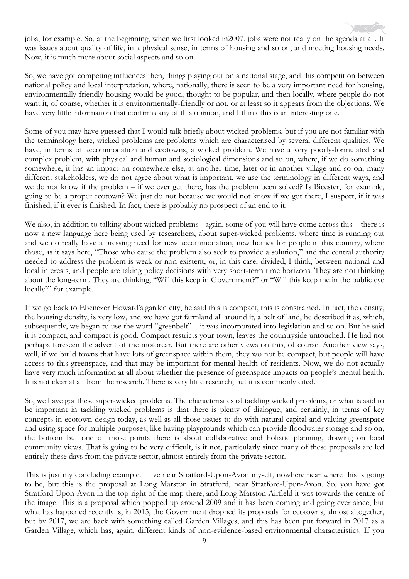jobs, for example. So, at the beginning, when we first looked in2007, jobs were not really on the agenda at all. It was issues about quality of life, in a physical sense, in terms of housing and so on, and meeting housing needs. Now, it is much more about social aspects and so on.

So, we have got competing influences then, things playing out on a national stage, and this competition between national policy and local interpretation, where, nationally, there is seen to be a very important need for housing, environmentally-friendly housing would be good, thought to be popular, and then locally, where people do not want it, of course, whether it is environmentally-friendly or not, or at least so it appears from the objections. We have very little information that confirms any of this opinion, and I think this is an interesting one.

Some of you may have guessed that I would talk briefly about wicked problems, but if you are not familiar with the terminology here, wicked problems are problems which are characterised by several different qualities. We have, in terms of accommodation and ecotowns, a wicked problem. We have a very poorly-formulated and complex problem, with physical and human and sociological dimensions and so on, where, if we do something somewhere, it has an impact on somewhere else, at another time, later or in another village and so on, many different stakeholders, we do not agree about what is important, we use the terminology in different ways, and we do not know if the problem – if we ever get there, has the problem been solved? Is Bicester, for example, going to be a proper ecotown? We just do not because we would not know if we got there, I suspect, if it was finished, if it ever is finished. In fact, there is probably no prospect of an end to it.

We also, in addition to talking about wicked problems - again, some of you will have come across this – there is now a new language here being used by researchers, about super-wicked problems, where time is running out and we do really have a pressing need for new accommodation, new homes for people in this country, where those, as it says here, "Those who cause the problem also seek to provide a solution," and the central authority needed to address the problem is weak or non-existent, or, in this case, divided, I think, between national and local interests, and people are taking policy decisions with very short-term time horizons. They are not thinking about the long-term. They are thinking, "Will this keep in Government?" or "Will this keep me in the public eye locally?" for example.

If we go back to Ebenezer Howard's garden city, he said this is compact, this is constrained. In fact, the density, the housing density, is very low, and we have got farmland all around it, a belt of land, he described it as, which, subsequently, we began to use the word "greenbelt" – it was incorporated into legislation and so on. But he said it is compact, and compact is good. Compact restricts your town, leaves the countryside untouched. He had not perhaps foreseen the advent of the motorcar. But there are other views on this, of course. Another view says, well, if we build towns that have lots of greenspace within them, they wo not be compact, but people will have access to this greenspace, and that may be important for mental health of residents. Now, we do not actually have very much information at all about whether the presence of greenspace impacts on people's mental health. It is not clear at all from the research. There is very little research, but it is commonly cited.

So, we have got these super-wicked problems. The characteristics of tackling wicked problems, or what is said to be important in tackling wicked problems is that there is plenty of dialogue, and certainly, in terms of key concepts in ecotown design today, as well as all those issues to do with natural capital and valuing greenspace and using space for multiple purposes, like having playgrounds which can provide floodwater storage and so on, the bottom but one of those points there is about collaborative and holistic planning, drawing on local community views. That is going to be very difficult, is it not, particularly since many of these proposals are led entirely these days from the private sector, almost entirely from the private sector.

This is just my concluding example. I live near Stratford-Upon-Avon myself, nowhere near where this is going to be, but this is the proposal at Long Marston in Stratford, near Stratford-Upon-Avon. So, you have got Stratford-Upon-Avon in the top-right of the map there, and Long Marston Airfield it was towards the centre of the image. This is a proposal which popped up around 2009 and it has been coming and going ever since, but what has happened recently is, in 2015, the Government dropped its proposals for ecotowns, almost altogether, but by 2017, we are back with something called Garden Villages, and this has been put forward in 2017 as a Garden Village, which has, again, different kinds of non-evidence-based environmental characteristics. If you